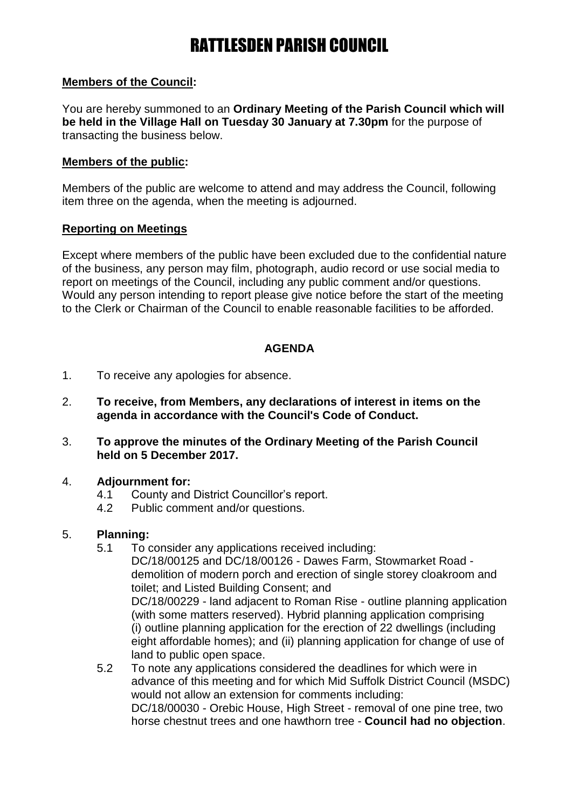#### **Members of the Council:**

You are hereby summoned to an **Ordinary Meeting of the Parish Council which will be held in the Village Hall on Tuesday 30 January at 7.30pm** for the purpose of transacting the business below.

#### **Members of the public:**

Members of the public are welcome to attend and may address the Council, following item three on the agenda, when the meeting is adjourned.

#### **Reporting on Meetings**

Except where members of the public have been excluded due to the confidential nature of the business, any person may film, photograph, audio record or use social media to report on meetings of the Council, including any public comment and/or questions. Would any person intending to report please give notice before the start of the meeting to the Clerk or Chairman of the Council to enable reasonable facilities to be afforded.

#### **AGENDA**

- 1. To receive any apologies for absence.
- 2. **To receive, from Members, any declarations of interest in items on the agenda in accordance with the Council's Code of Conduct.**
- 3. **To approve the minutes of the Ordinary Meeting of the Parish Council held on 5 December 2017.**

#### 4. **Adjournment for:**

- 4.1 County and District Councillor's report.
- 4.2 Public comment and/or questions.

#### 5. **Planning:**

- 5.1 To consider any applications received including: DC/18/00125 and DC/18/00126 - Dawes Farm, Stowmarket Road demolition of modern porch and erection of single storey cloakroom and toilet; and Listed Building Consent; and DC/18/00229 - land adjacent to Roman Rise - outline planning application (with some matters reserved). Hybrid planning application comprising (i) outline planning application for the erection of 22 dwellings (including eight affordable homes); and (ii) planning application for change of use of land to public open space.
- 5.2 To note any applications considered the deadlines for which were in advance of this meeting and for which Mid Suffolk District Council (MSDC) would not allow an extension for comments including: DC/18/00030 - Orebic House, High Street - removal of one pine tree, two horse chestnut trees and one hawthorn tree - **Council had no objection**.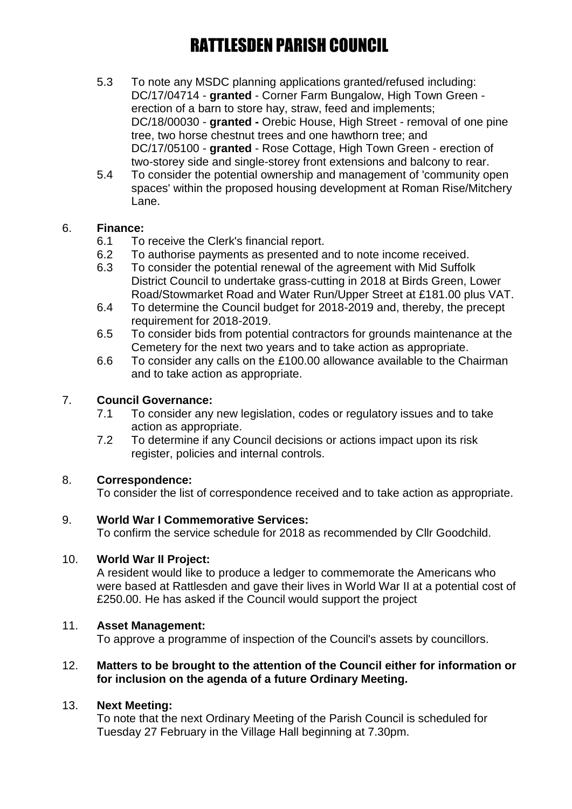- 5.3 To note any MSDC planning applications granted/refused including: DC/17/04714 - **granted** - Corner Farm Bungalow, High Town Green erection of a barn to store hay, straw, feed and implements; DC/18/00030 - **granted -** Orebic House, High Street - removal of one pine tree, two horse chestnut trees and one hawthorn tree; and DC/17/05100 - **granted** - Rose Cottage, High Town Green - erection of two-storey side and single-storey front extensions and balcony to rear.
- 5.4 To consider the potential ownership and management of 'community open spaces' within the proposed housing development at Roman Rise/Mitchery Lane.

#### 6. **Finance:**

- 6.1 To receive the Clerk's financial report.
- 6.2 To authorise payments as presented and to note income received.
- 6.3 To consider the potential renewal of the agreement with Mid Suffolk District Council to undertake grass-cutting in 2018 at Birds Green, Lower Road/Stowmarket Road and Water Run/Upper Street at £181.00 plus VAT.
- 6.4 To determine the Council budget for 2018-2019 and, thereby, the precept requirement for 2018-2019.
- 6.5 To consider bids from potential contractors for grounds maintenance at the Cemetery for the next two years and to take action as appropriate.
- 6.6 To consider any calls on the £100.00 allowance available to the Chairman and to take action as appropriate.

### 7. **Council Governance:**

- 7.1 To consider any new legislation, codes or regulatory issues and to take action as appropriate.
- 7.2 To determine if any Council decisions or actions impact upon its risk register, policies and internal controls.

### 8. **Correspondence:**

To consider the list of correspondence received and to take action as appropriate.

#### 9. **World War I Commemorative Services:**

To confirm the service schedule for 2018 as recommended by Cllr Goodchild.

#### 10. **World War II Project:**

A resident would like to produce a ledger to commemorate the Americans who were based at Rattlesden and gave their lives in World War II at a potential cost of £250.00. He has asked if the Council would support the project

#### 11. **Asset Management:**

To approve a programme of inspection of the Council's assets by councillors.

#### 12. **Matters to be brought to the attention of the Council either for information or for inclusion on the agenda of a future Ordinary Meeting.**

### 13. **Next Meeting:**

To note that the next Ordinary Meeting of the Parish Council is scheduled for Tuesday 27 February in the Village Hall beginning at 7.30pm.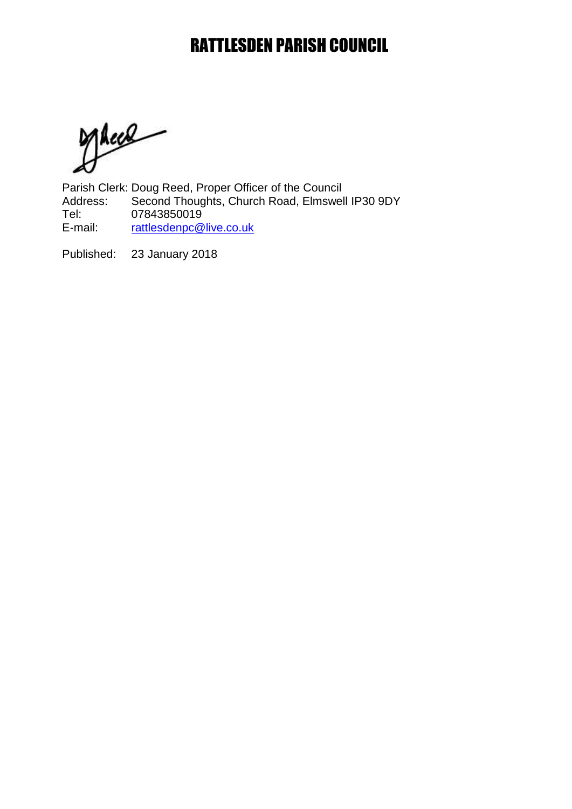JAccel

Parish Clerk: Doug Reed, Proper Officer of the Council<br>Address: Second Thoughts, Church Road, Elmswel Second Thoughts, Church Road, Elmswell IP30 9DY Tel: 07843850019<br>E-mail: rattlesdenpc@ [rattlesdenpc@live.co.uk](mailto:rattlesdenpc@live.co.uk)

Published: 23 January 2018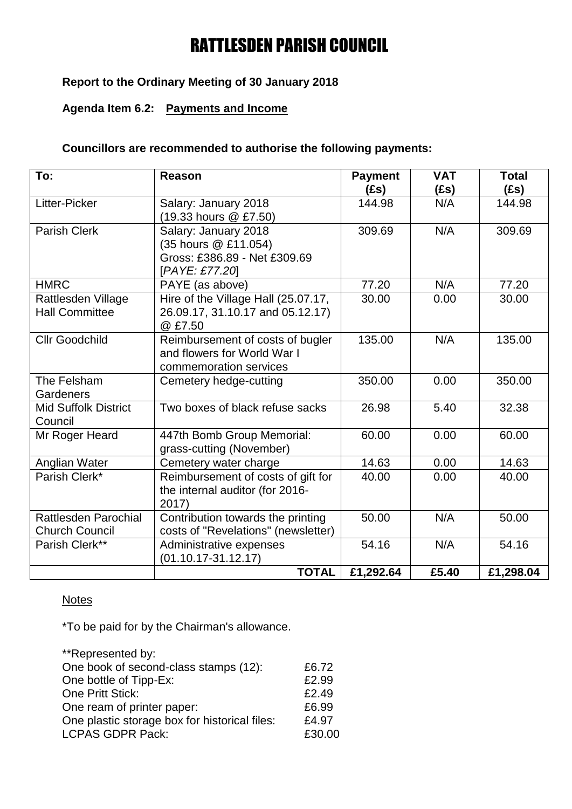### **Report to the Ordinary Meeting of 30 January 2018**

### **Agenda Item 6.2: Payments and Income**

#### **Councillors are recommended to authorise the following payments:**

| To:                                                  | <b>Reason</b>                                                                                  | <b>Payment</b><br>(£s) | <b>VAT</b><br>(£s) | <b>Total</b><br>(fs) |
|------------------------------------------------------|------------------------------------------------------------------------------------------------|------------------------|--------------------|----------------------|
| Litter-Picker                                        | Salary: January 2018<br>(19.33 hours @ £7.50)                                                  | 144.98                 | N/A                | 144.98               |
| Parish Clerk                                         | Salary: January 2018<br>(35 hours @ £11.054)<br>Gross: £386.89 - Net £309.69<br>[PAYE: £77.20] | 309.69                 | N/A                | 309.69               |
| <b>HMRC</b><br>PAYE (as above)                       |                                                                                                | 77.20                  | N/A                | 77.20                |
| Rattlesden Village<br><b>Hall Committee</b>          | Hire of the Village Hall (25.07.17,<br>26.09.17, 31.10.17 and 05.12.17)<br>@£7.50              | 30.00                  | 0.00               | 30.00                |
| <b>Cllr Goodchild</b>                                | Reimbursement of costs of bugler<br>and flowers for World War I<br>commemoration services      | 135.00                 | N/A                | 135.00               |
| The Felsham<br>Gardeners                             | Cemetery hedge-cutting                                                                         | 350.00                 | 0.00               | 350.00               |
| <b>Mid Suffolk District</b><br>Council               | Two boxes of black refuse sacks                                                                | 26.98                  | 5.40               | 32.38                |
| Mr Roger Heard                                       | 447th Bomb Group Memorial:<br>grass-cutting (November)                                         | 60.00                  | 0.00               | 60.00                |
| Anglian Water                                        | Cemetery water charge                                                                          | 14.63                  | 0.00               | 14.63                |
| Parish Clerk*                                        | Reimbursement of costs of gift for<br>the internal auditor (for 2016-<br>2017)                 | 40.00                  | 0.00               | 40.00                |
| <b>Rattlesden Parochial</b><br><b>Church Council</b> | Contribution towards the printing<br>costs of "Revelations" (newsletter)                       | 50.00                  | N/A                | 50.00                |
| Parish Clerk**                                       | Administrative expenses<br>$(01.10.17 - 31.12.17)$                                             | 54.16                  | N/A                | 54.16                |
|                                                      | <b>TOTAL</b>                                                                                   | £1,292.64              | £5.40              | £1,298.04            |

#### **Notes**

\*To be paid for by the Chairman's allowance.

| **Represented by:                             |        |
|-----------------------------------------------|--------|
| One book of second-class stamps (12):         | £6.72  |
| One bottle of Tipp-Ex:                        | £2.99  |
| One Pritt Stick:                              | £2.49  |
| One ream of printer paper:                    | £6.99  |
| One plastic storage box for historical files: | £4.97  |
| <b>LCPAS GDPR Pack:</b>                       | £30.00 |
|                                               |        |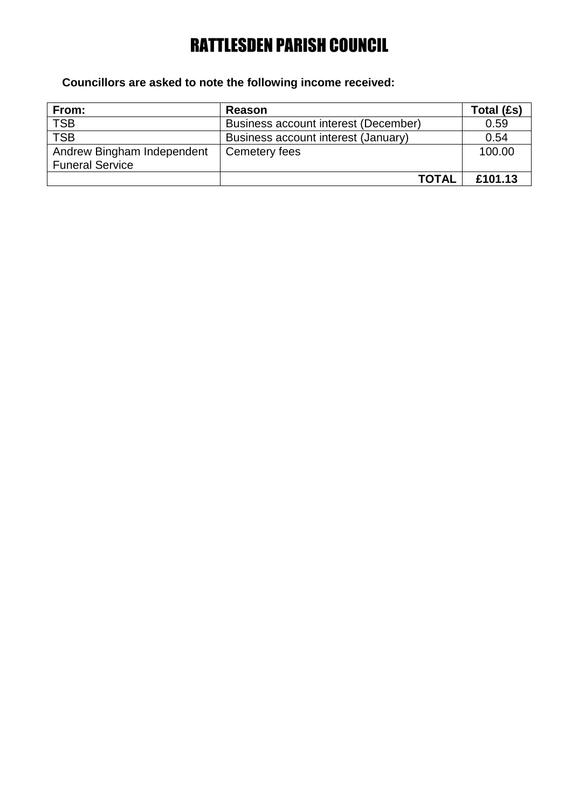### **Councillors are asked to note the following income received:**

| From:                      | <b>Reason</b>                        | Total (£s) |
|----------------------------|--------------------------------------|------------|
| <b>TSB</b>                 | Business account interest (December) | 0.59       |
| <b>TSB</b>                 | Business account interest (January)  | 0.54       |
| Andrew Bingham Independent | Cemetery fees                        | 100.00     |
| <b>Funeral Service</b>     |                                      |            |
|                            | <b>TOTAL</b>                         | £101.13    |